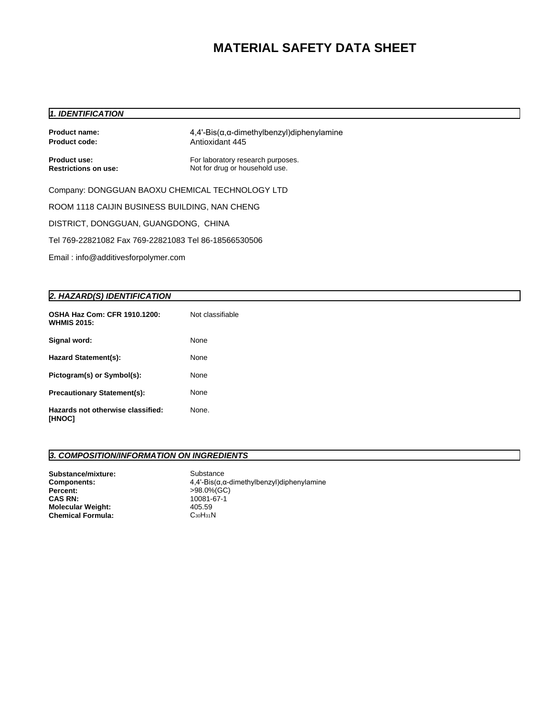# **MATERIAL SAFETY DATA SHEET**

### *1. IDENTIFICATION*

| Product name:<br><b>Product code:</b>                | $4,4'-Bis(\alpha,\alpha$ -dimethylbenzyl)diphenylamine<br>Antioxidant 445 |  |  |  |  |
|------------------------------------------------------|---------------------------------------------------------------------------|--|--|--|--|
| Product use:<br><b>Restrictions on use:</b>          | For laboratory research purposes.<br>Not for drug or household use.       |  |  |  |  |
| Company: DONGGUAN BAOXU CHEMICAL TECHNOLOGY LTD      |                                                                           |  |  |  |  |
| ROOM 1118 CAIJIN BUSINESS BUILDING, NAN CHENG        |                                                                           |  |  |  |  |
| DISTRICT, DONGGUAN, GUANGDONG, CHINA                 |                                                                           |  |  |  |  |
| Tel 769-22821082 Fax 769-22821083 Tel 86-18566530506 |                                                                           |  |  |  |  |
| Email: info@additivesforpolymer.com                  |                                                                           |  |  |  |  |

#### *2. HAZARD(S) IDENTIFICATION*

| OSHA Haz Com: CFR 1910.1200:<br><b>WHMIS 2015:</b> | Not classifiable |
|----------------------------------------------------|------------------|
| Signal word:                                       | None             |
| <b>Hazard Statement(s):</b>                        | None             |
| Pictogram(s) or Symbol(s):                         | None             |
| <b>Precautionary Statement(s):</b>                 | None             |
| Hazards not otherwise classified:<br>[HNOC]        | None.            |

### *3. COMPOSITION/INFORMATION ON INGREDIENTS*

| Substance/mixture:<br><b>Components:</b> | Substance<br>$4,4'-Bis(\alpha,\alpha\text{-dimethylbenzyl})$ diphenylamine |
|------------------------------------------|----------------------------------------------------------------------------|
| Percent:                                 | >98.0%(GC)                                                                 |
| <b>CAS RN:</b>                           | 10081-67-1                                                                 |
| <b>Molecular Weight:</b>                 | 405.59                                                                     |
| <b>Chemical Formula:</b>                 | СзоНз1N.                                                                   |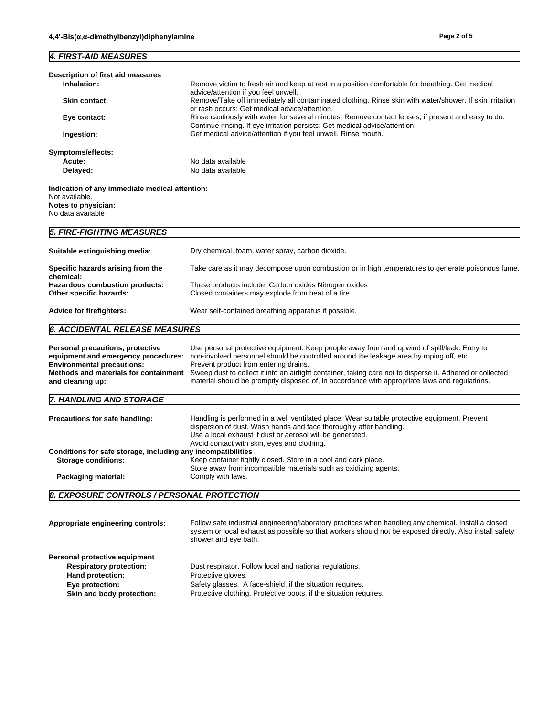#### *4. FIRST-AID MEASURES*

| Description of first aid measures                                                                            |                                                                                                                                                                                   |  |  |  |
|--------------------------------------------------------------------------------------------------------------|-----------------------------------------------------------------------------------------------------------------------------------------------------------------------------------|--|--|--|
| Inhalation:                                                                                                  | Remove victim to fresh air and keep at rest in a position comfortable for breathing. Get medical<br>advice/attention if you feel unwell.                                          |  |  |  |
| <b>Skin contact:</b>                                                                                         | Remove/Take off immediately all contaminated clothing. Rinse skin with water/shower. If skin irritation<br>or rash occurs: Get medical advice/attention.                          |  |  |  |
| Eye contact:                                                                                                 | Rinse cautiously with water for several minutes. Remove contact lenses, if present and easy to do.<br>Continue rinsing. If eye irritation persists: Get medical advice/attention. |  |  |  |
| Get medical advice/attention if you feel unwell. Rinse mouth.<br>Ingestion:                                  |                                                                                                                                                                                   |  |  |  |
| Symptoms/effects:                                                                                            |                                                                                                                                                                                   |  |  |  |
| Acute:                                                                                                       | No data available                                                                                                                                                                 |  |  |  |
| No data available<br>Delayed:                                                                                |                                                                                                                                                                                   |  |  |  |
| Indication of any immediate medical attention:<br>Not available.<br>Notes to physician:<br>No data available |                                                                                                                                                                                   |  |  |  |
| 5. FIRE-FIGHTING MEASURES                                                                                    |                                                                                                                                                                                   |  |  |  |
| Suitable extinguishing media:                                                                                | Dry chemical, foam, water spray, carbon dioxide.                                                                                                                                  |  |  |  |
| Specific hazards arising from the<br>chemical:                                                               | Take care as it may decompose upon combustion or in high temperatures to generate poisonous fume.                                                                                 |  |  |  |
| These products include: Carbon oxides Nitrogen oxides<br>Hazardous combustion products:                      |                                                                                                                                                                                   |  |  |  |

**Other specific hazards:** Closed containers may explode from heat of a fire.

Advice for firefighters: Wear self-contained breathing apparatus if possible.

## *6. ACCIDENTAL RELEASE MEASURES*

| Personal precautions, protective<br>equipment and emergency procedures:<br><b>Environmental precautions:</b><br>Methods and materials for containment<br>and cleaning up: | Use personal protective equipment. Keep people away from and upwind of spill/leak. Entry to<br>non-involved personnel should be controlled around the leakage area by roping off, etc.<br>Prevent product from entering drains.<br>Sweep dust to collect it into an airtight container, taking care not to disperse it. Adhered or collected<br>material should be promptly disposed of, in accordance with appropriate laws and regulations. |  |  |
|---------------------------------------------------------------------------------------------------------------------------------------------------------------------------|-----------------------------------------------------------------------------------------------------------------------------------------------------------------------------------------------------------------------------------------------------------------------------------------------------------------------------------------------------------------------------------------------------------------------------------------------|--|--|
| 7. HANDLING AND STORAGE                                                                                                                                                   |                                                                                                                                                                                                                                                                                                                                                                                                                                               |  |  |
| Precautions for safe handling:                                                                                                                                            | Handling is performed in a well ventilated place. Wear suitable protective equipment. Prevent<br>dispersion of dust. Wash hands and face thoroughly after handling.<br>Use a local exhaust if dust or aerosol will be generated.<br>Avoid contact with skin, eyes and clothing.                                                                                                                                                               |  |  |
| Conditions for safe storage, including any incompatibilities                                                                                                              |                                                                                                                                                                                                                                                                                                                                                                                                                                               |  |  |
| <b>Storage conditions:</b>                                                                                                                                                | Keep container tightly closed. Store in a cool and dark place.<br>Store away from incompatible materials such as oxidizing agents.                                                                                                                                                                                                                                                                                                            |  |  |
| Comply with laws.<br>Packaging material:                                                                                                                                  |                                                                                                                                                                                                                                                                                                                                                                                                                                               |  |  |
| 8. EXPOSURE CONTROLS / PERSONAL PROTECTION                                                                                                                                |                                                                                                                                                                                                                                                                                                                                                                                                                                               |  |  |

| Follow safe industrial engineering/laboratory practices when handling any chemical. Install a closed<br>Appropriate engineering controls:<br>system or local exhaust as possible so that workers should not be exposed directly. Also install safety<br>shower and eye bath. |                                                                   |
|------------------------------------------------------------------------------------------------------------------------------------------------------------------------------------------------------------------------------------------------------------------------------|-------------------------------------------------------------------|
| Personal protective equipment                                                                                                                                                                                                                                                |                                                                   |
| <b>Respiratory protection:</b>                                                                                                                                                                                                                                               | Dust respirator. Follow local and national regulations.           |
| Hand protection:                                                                                                                                                                                                                                                             | Protective gloves.                                                |
| Eye protection:                                                                                                                                                                                                                                                              | Safety glasses. A face-shield, if the situation requires.         |
| Skin and body protection:                                                                                                                                                                                                                                                    | Protective clothing. Protective boots, if the situation requires. |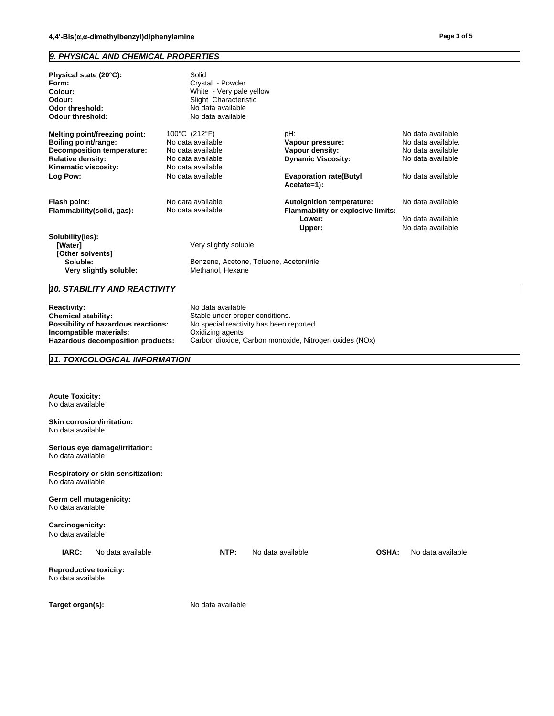#### *9. PHYSICAL AND CHEMICAL PROPERTIES*

| Physical state (20°C):<br>Form:<br>Colour:<br>Odour:<br>Odor threshold:<br><b>Odour threshold:</b>                                                         | Solid<br>Crystal - Powder<br>White - Very pale yellow<br>Slight Characteristic<br>No data available<br>No data available |                                                                                                          |                                                                                                        |
|------------------------------------------------------------------------------------------------------------------------------------------------------------|--------------------------------------------------------------------------------------------------------------------------|----------------------------------------------------------------------------------------------------------|--------------------------------------------------------------------------------------------------------|
| Melting point/freezing point:<br>Boiling point/range:<br><b>Decomposition temperature:</b><br><b>Relative density:</b><br>Kinematic viscosity:<br>Log Pow: | 100°C (212°F)<br>No data available<br>No data available<br>No data available<br>No data available<br>No data available   | pH:<br>Vapour pressure:<br>Vapour density:<br><b>Dynamic Viscosity:</b><br><b>Evaporation rate(Butyl</b> | No data available<br>No data available.<br>No data available<br>No data available<br>No data available |
| Flash point:<br>Flammability(solid, gas):                                                                                                                  | No data available<br>No data available                                                                                   | Acetate=1):<br><b>Autoignition temperature:</b><br><b>Flammability or explosive limits:</b><br>Lower:    | No data available<br>No data available                                                                 |
| Solubility(ies):<br>[Water]<br>[Other solvents]<br>Soluble:<br>Very slightly soluble:                                                                      | Very slightly soluble<br>Benzene, Acetone, Toluene, Acetonitrile<br>Methanol, Hexane                                     | Upper:                                                                                                   | No data available                                                                                      |
| 10. STABILITY AND REACTIVITY                                                                                                                               |                                                                                                                          |                                                                                                          |                                                                                                        |
| <b>Reactivity:</b><br>ويمطلط والملحا والمحاجمة والمراجح                                                                                                    | No data available<br>Otalela una dan music su sanaditi sua                                                               |                                                                                                          |                                                                                                        |

**Chemical stability: Chemical stability:** Stable under proper conditions.<br>**Possibility of hazardous reactions:** No special reactivity has been re No special reactivity has been reported.<br>Oxidizing agents **Incompatible materials:**<br>Hazardous decomposition products: Carbon dioxide, Carbon monoxide, Nitrogen oxides (NOx)

*11. TOXICOLOGICAL INFORMATION*

**Acute Toxicity:** No data available

**Skin corrosion/irritation:** No data available

**Serious eye damage/irritation:** No data available

**Respiratory or skin sensitization:** No data available

**Germ cell mutagenicity:** No data available

**Carcinogenicity:** No data available

**IARC:** No data available **NTP:** No data available **OSHA:** No data available

**Reproductive toxicity:** No data available

Target organ(s): No data available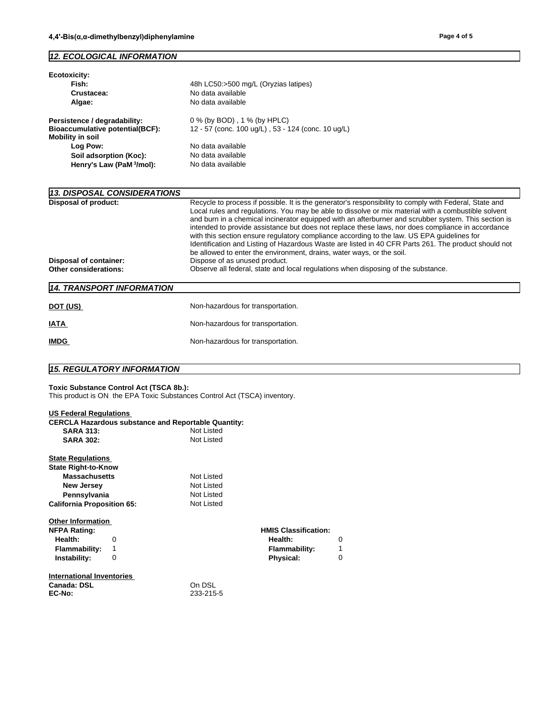#### *12. ECOLOGICAL INFORMATION*

| Ecotoxicity:<br>Fish:<br>Crustacea:<br>Algae:                                                     | 48h LC50:>500 mg/L (Oryzias latipes)<br>No data available<br>No data available                                                                                                                                                                                                                                                                                                                                                                                                                                                                                                                                                                                                                            |
|---------------------------------------------------------------------------------------------------|-----------------------------------------------------------------------------------------------------------------------------------------------------------------------------------------------------------------------------------------------------------------------------------------------------------------------------------------------------------------------------------------------------------------------------------------------------------------------------------------------------------------------------------------------------------------------------------------------------------------------------------------------------------------------------------------------------------|
| Persistence / degradability:<br><b>Bioaccumulative potential(BCF):</b><br><b>Mobility in soil</b> | 0 % (by BOD), 1 % (by HPLC)<br>12 - 57 (conc. 100 ug/L), 53 - 124 (conc. 10 ug/L)                                                                                                                                                                                                                                                                                                                                                                                                                                                                                                                                                                                                                         |
| Log Pow:                                                                                          | No data available                                                                                                                                                                                                                                                                                                                                                                                                                                                                                                                                                                                                                                                                                         |
| Soil adsorption (Koc):                                                                            | No data available                                                                                                                                                                                                                                                                                                                                                                                                                                                                                                                                                                                                                                                                                         |
| Henry's Law (PaM 3/mol):                                                                          | No data available                                                                                                                                                                                                                                                                                                                                                                                                                                                                                                                                                                                                                                                                                         |
| 13. DISPOSAL CONSIDERATIONS<br><b>Disposal of product:</b>                                        | Recycle to process if possible. It is the generator's responsibility to comply with Federal, State and<br>Local rules and regulations. You may be able to dissolve or mix material with a combustible solvent<br>and burn in a chemical incinerator equipped with an afterburner and scrubber system. This section is<br>intended to provide assistance but does not replace these laws, nor does compliance in accordance<br>with this section ensure regulatory compliance according to the law. US EPA guidelines for<br>Identification and Listing of Hazardous Waste are listed in 40 CFR Parts 261. The product should not<br>be allowed to enter the environment, drains, water ways, or the soil. |
| Disposal of container:                                                                            | Dispose of as unused product.                                                                                                                                                                                                                                                                                                                                                                                                                                                                                                                                                                                                                                                                             |
| Other considerations:                                                                             | Observe all federal, state and local regulations when disposing of the substance.                                                                                                                                                                                                                                                                                                                                                                                                                                                                                                                                                                                                                         |
| 14. TRANSPORT INFORMATION                                                                         |                                                                                                                                                                                                                                                                                                                                                                                                                                                                                                                                                                                                                                                                                                           |
| DOT (US)                                                                                          | Non-hazardous for transportation.                                                                                                                                                                                                                                                                                                                                                                                                                                                                                                                                                                                                                                                                         |
| <b>IATA</b>                                                                                       | Non-hazardous for transportation.                                                                                                                                                                                                                                                                                                                                                                                                                                                                                                                                                                                                                                                                         |

#### *15. REGULATORY INFORMATION*

#### **Toxic Substance Control Act (TSCA 8b.):**

This product is ON the EPA Toxic Substances Control Act (TSCA) inventory.

**IMDG IMDG IMDG** 

| <b>US Federal Regulations</b>     |   |                                                            |                             |   |  |
|-----------------------------------|---|------------------------------------------------------------|-----------------------------|---|--|
|                                   |   | <b>CERCLA Hazardous substance and Reportable Quantity:</b> |                             |   |  |
| <b>SARA 313:</b>                  |   | Not Listed                                                 |                             |   |  |
| <b>SARA 302:</b>                  |   | <b>Not Listed</b>                                          |                             |   |  |
| <b>State Regulations</b>          |   |                                                            |                             |   |  |
| <b>State Right-to-Know</b>        |   |                                                            |                             |   |  |
| <b>Massachusetts</b>              |   | Not Listed                                                 |                             |   |  |
| <b>New Jersey</b>                 |   | Not Listed                                                 |                             |   |  |
| Pennsylvania                      |   | Not Listed                                                 |                             |   |  |
| <b>California Proposition 65:</b> |   | Not Listed                                                 |                             |   |  |
| <b>Other Information</b>          |   |                                                            |                             |   |  |
| <b>NFPA Rating:</b>               |   |                                                            | <b>HMIS Classification:</b> |   |  |
| Health:                           | 0 |                                                            | Health:                     | 0 |  |
| Flammability:                     | 1 |                                                            | Flammability:               |   |  |
| Instability:                      | 0 |                                                            | Physical:                   | 0 |  |
| International Inventories         |   |                                                            |                             |   |  |
| Canada: DSL                       |   | On DSL                                                     |                             |   |  |
| EC-No:                            |   | 233-215-5                                                  |                             |   |  |